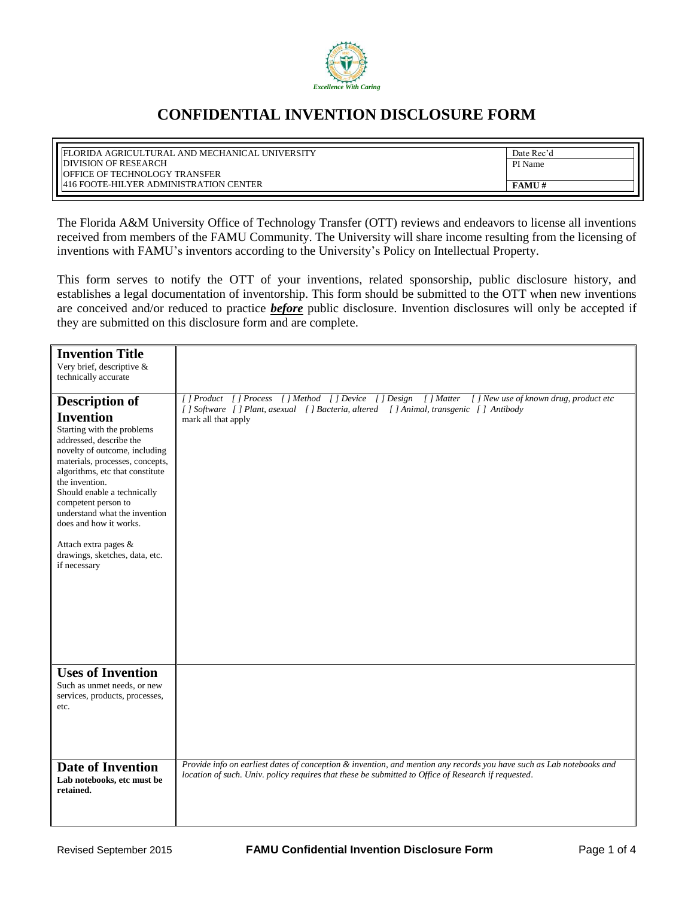

## **CONFIDENTIAL INVENTION DISCLOSURE FORM**

| I FLORIDA AGRICULTURAL AND MECHANICAL UNIVERSITY                                | Date Rec'd   |
|---------------------------------------------------------------------------------|--------------|
| <b>DIVISION OF RESEARCH</b>                                                     | PI Name      |
| OFFICE OF TECHNOLOGY TRANSFER<br><b>1416 FOOTE-HILYER ADMINISTRATION CENTER</b> | <b>FAMU#</b> |

The Florida A&M University Office of Technology Transfer (OTT) reviews and endeavors to license all inventions received from members of the FAMU Community. The University will share income resulting from the licensing of inventions with FAMU's inventors according to the University's Policy on Intellectual Property.

This form serves to notify the OTT of your inventions, related sponsorship, public disclosure history, and establishes a legal documentation of inventorship. This form should be submitted to the OTT when new inventions are conceived and/or reduced to practice *before* public disclosure. Invention disclosures will only be accepted if they are submitted on this disclosure form and are complete.

| <b>Invention Title</b><br>Very brief, descriptive &<br>technically accurate                                                                                                                                                                                                                                                                                                                                            |                                                                                                                                                                                                                             |
|------------------------------------------------------------------------------------------------------------------------------------------------------------------------------------------------------------------------------------------------------------------------------------------------------------------------------------------------------------------------------------------------------------------------|-----------------------------------------------------------------------------------------------------------------------------------------------------------------------------------------------------------------------------|
| <b>Description of</b><br><b>Invention</b><br>Starting with the problems<br>addressed, describe the<br>novelty of outcome, including<br>materials, processes, concepts,<br>algorithms, etc that constitute<br>the invention.<br>Should enable a technically<br>competent person to<br>understand what the invention<br>does and how it works.<br>Attach extra pages &<br>drawings, sketches, data, etc.<br>if necessary | [] Product [] Process [] Method [] Device [] Design [] Matter [] New use of known drug, product etc<br>[ ] Software [ ] Plant, asexual [ ] Bacteria, altered [ ] Animal, transgenic [ ] Antibody<br>mark all that apply     |
| <b>Uses of Invention</b><br>Such as unmet needs, or new<br>services, products, processes,<br>etc.                                                                                                                                                                                                                                                                                                                      |                                                                                                                                                                                                                             |
| <b>Date of Invention</b><br>Lab notebooks, etc must be<br>retained.                                                                                                                                                                                                                                                                                                                                                    | Provide info on earliest dates of conception & invention, and mention any records you have such as Lab notebooks and<br>location of such. Univ. policy requires that these be submitted to Office of Research if requested. |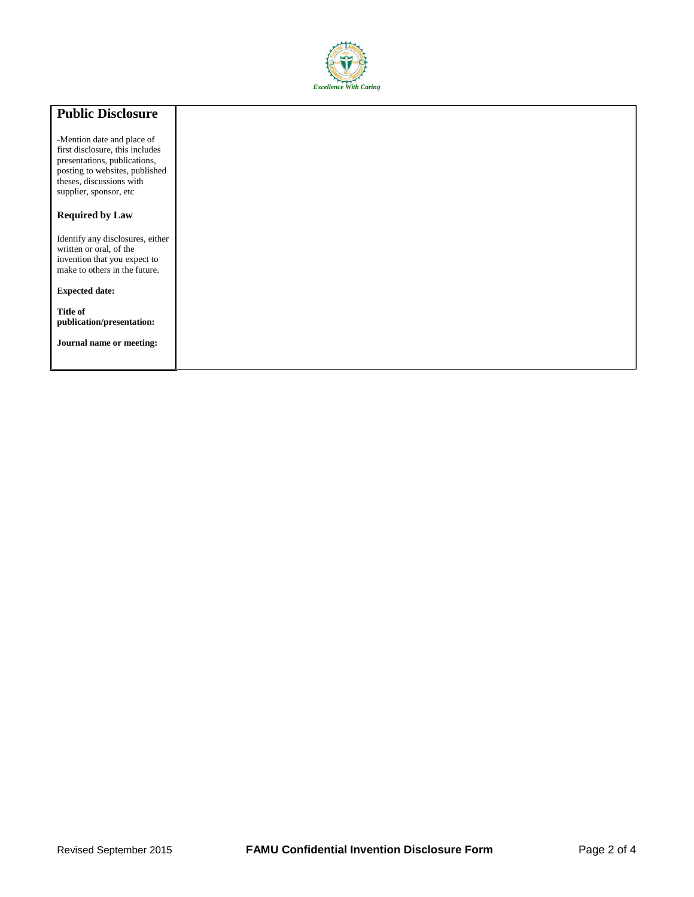

## **Public Disclosure** -Mention date and place of first disclosure, this includes presentations, publications, posting to websites, published theses, discussions with supplier, sponsor, etc **Required by Law** Identify any disclosures, either written or oral, of the invention that you expect to make to others in the future. **Expected date: Title of publication/presentation: Journal name or meeting:**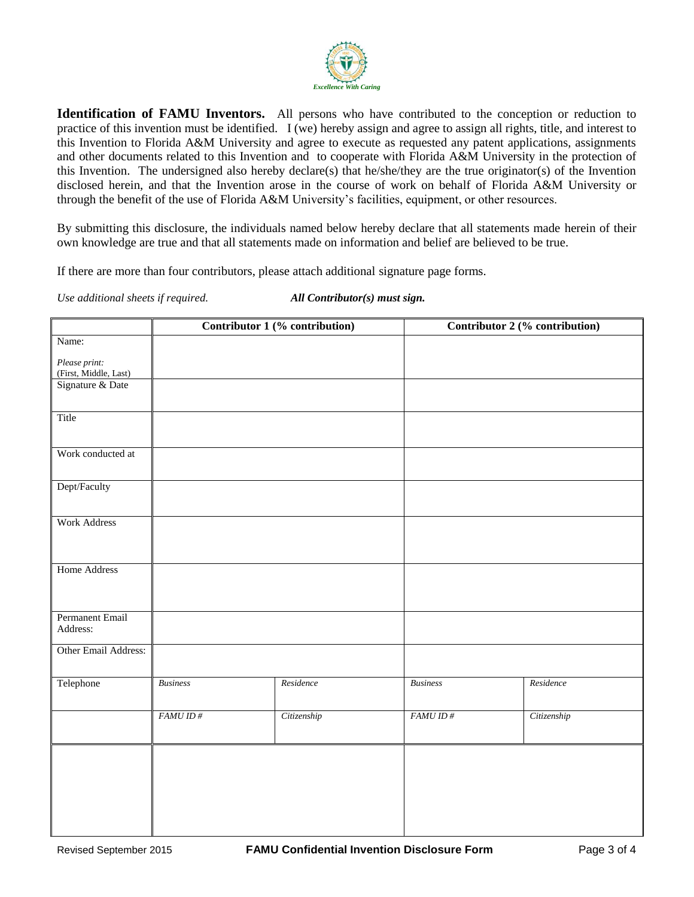

**Identification of FAMU Inventors.** All persons who have contributed to the conception or reduction to practice of this invention must be identified. I (we) hereby assign and agree to assign all rights, title, and interest to this Invention to Florida A&M University and agree to execute as requested any patent applications, assignments and other documents related to this Invention and to cooperate with Florida A&M University in the protection of this Invention. The undersigned also hereby declare(s) that he/she/they are the true originator(s) of the Invention disclosed herein, and that the Invention arose in the course of work on behalf of Florida A&M University or through the benefit of the use of Florida A&M University's facilities, equipment, or other resources.

By submitting this disclosure, the individuals named below hereby declare that all statements made herein of their own knowledge are true and that all statements made on information and belief are believed to be true.

If there are more than four contributors, please attach additional signature page forms.

*Use additional sheets if required. All Contributor(s) must sign.*

|                                        | Contributor 1 (% contribution) |             |                 | Contributor 2 (% contribution) |  |
|----------------------------------------|--------------------------------|-------------|-----------------|--------------------------------|--|
| Name:                                  |                                |             |                 |                                |  |
| Please print:<br>(First, Middle, Last) |                                |             |                 |                                |  |
| Signature & Date                       |                                |             |                 |                                |  |
| Title                                  |                                |             |                 |                                |  |
| Work conducted at                      |                                |             |                 |                                |  |
| Dept/Faculty                           |                                |             |                 |                                |  |
| <b>Work Address</b>                    |                                |             |                 |                                |  |
| <b>Home Address</b>                    |                                |             |                 |                                |  |
| Permanent Email<br>Address:            |                                |             |                 |                                |  |
| Other Email Address:                   |                                |             |                 |                                |  |
| Telephone                              | <b>Business</b>                | Residence   | <b>Business</b> | Residence                      |  |
|                                        | FAMUID#                        | Citizenship | FAMUID#         | Citizenship                    |  |
|                                        |                                |             |                 |                                |  |
|                                        |                                |             |                 |                                |  |
|                                        |                                |             |                 |                                |  |